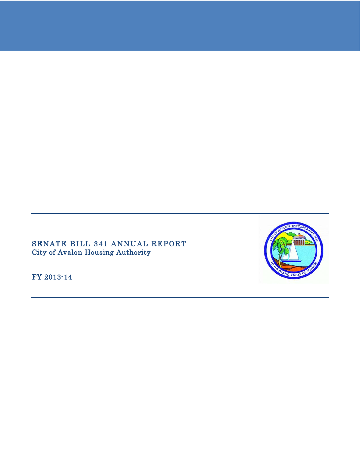# SENATE BILL 341 ANNUAL REPORT City of Avalon Housing Authority

FY 2013-14

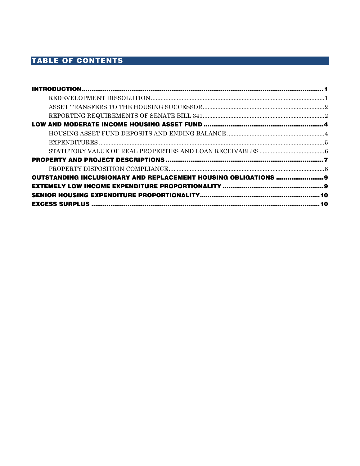# TABLE OF CONTENTS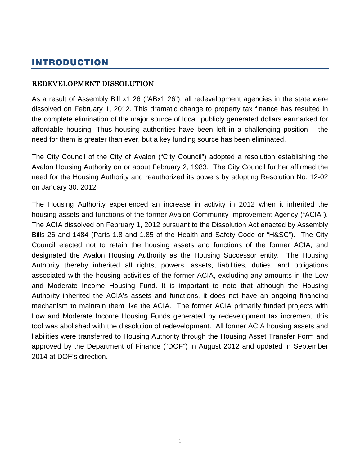# <span id="page-2-0"></span>INTRODUCTION

### <span id="page-2-1"></span>REDEVELOPMENT DISSOLUTION

As a result of Assembly Bill x1 26 ("ABx1 26"), all redevelopment agencies in the state were dissolved on February 1, 2012. This dramatic change to property tax finance has resulted in the complete elimination of the major source of local, publicly generated dollars earmarked for affordable housing. Thus housing authorities have been left in a challenging position – the need for them is greater than ever, but a key funding source has been eliminated.

The City Council of the City of Avalon ("City Council") adopted a resolution establishing the Avalon Housing Authority on or about February 2, 1983. The City Council further affirmed the need for the Housing Authority and reauthorized its powers by adopting Resolution No. 12-02 on January 30, 2012.

<span id="page-2-2"></span>The Housing Authority experienced an increase in activity in 2012 when it inherited the housing assets and functions of the former Avalon Community Improvement Agency ("ACIA"). The ACIA dissolved on February 1, 2012 pursuant to the Dissolution Act enacted by Assembly Bills 26 and 1484 (Parts 1.8 and 1.85 of the Health and Safety Code or "H&SC"). The City Council elected not to retain the housing assets and functions of the former ACIA, and designated the Avalon Housing Authority as the Housing Successor entity. The Housing Authority thereby inherited all rights, powers, assets, liabilities, duties, and obligations associated with the housing activities of the former ACIA, excluding any amounts in the Low and Moderate Income Housing Fund. It is important to note that although the Housing Authority inherited the ACIA's assets and functions, it does not have an ongoing financing mechanism to maintain them like the ACIA. The former ACIA primarily funded projects with Low and Moderate Income Housing Funds generated by redevelopment tax increment; this tool was abolished with the dissolution of redevelopment. All former ACIA housing assets and liabilities were transferred to Housing Authority through the Housing Asset Transfer Form and approved by the Department of Finance ("DOF") in August 2012 and updated in September 2014 at DOF's direction.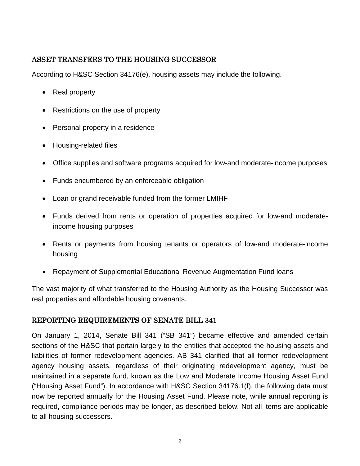# ASSET TRANSFERS TO THE HOUSING SUCCESSOR

According to H&SC Section 34176(e), housing assets may include the following.

- Real property
- Restrictions on the use of property
- Personal property in a residence
- Housing-related files
- Office supplies and software programs acquired for low-and moderate-income purposes
- Funds encumbered by an enforceable obligation
- Loan or grand receivable funded from the former LMIHF
- Funds derived from rents or operation of properties acquired for low-and moderateincome housing purposes
- Rents or payments from housing tenants or operators of low-and moderate-income housing
- Repayment of Supplemental Educational Revenue Augmentation Fund loans

The vast majority of what transferred to the Housing Authority as the Housing Successor was real properties and affordable housing covenants.

# <span id="page-3-0"></span>REPORTING REQUIREMENTS OF SENATE BILL 341

On January 1, 2014, Senate Bill 341 ("SB 341") became effective and amended certain sections of the H&SC that pertain largely to the entities that accepted the housing assets and liabilities of former redevelopment agencies. AB 341 clarified that all former redevelopment agency housing assets, regardless of their originating redevelopment agency, must be maintained in a separate fund, known as the Low and Moderate Income Housing Asset Fund ("Housing Asset Fund"). In accordance with H&SC Section 34176.1(f), the following data must now be reported annually for the Housing Asset Fund. Please note, while annual reporting is required, compliance periods may be longer, as described below. Not all items are applicable to all housing successors.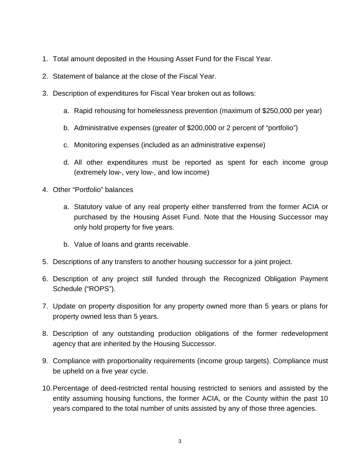- 1. Total amount deposited in the Housing Asset Fund for the Fiscal Year.
- 2. Statement of balance at the close of the Fiscal Year.
- 3. Description of expenditures for Fiscal Year broken out as follows:
	- a. Rapid rehousing for homelessness prevention (maximum of \$250,000 per year)
	- b. Administrative expenses (greater of \$200,000 or 2 percent of "portfolio")
	- c. Monitoring expenses (included as an administrative expense)
	- d. All other expenditures must be reported as spent for each income group (extremely low-, very low-, and low income)
- 4. Other "Portfolio" balances
	- a. Statutory value of any real property either transferred from the former ACIA or purchased by the Housing Asset Fund. Note that the Housing Successor may only hold property for five years.
	- b. Value of loans and grants receivable.
- 5. Descriptions of any transfers to another housing successor for a joint project.
- 6. Description of any project still funded through the Recognized Obligation Payment Schedule ("ROPS").
- 7. Update on property disposition for any property owned more than 5 years or plans for property owned less than 5 years.
- 8. Description of any outstanding production obligations of the former redevelopment agency that are inherited by the Housing Successor.
- 9. Compliance with proportionality requirements (income group targets). Compliance must be upheld on a five year cycle.
- 10.Percentage of deed-restricted rental housing restricted to seniors and assisted by the entity assuming housing functions, the former ACIA, or the County within the past 10 years compared to the total number of units assisted by any of those three agencies.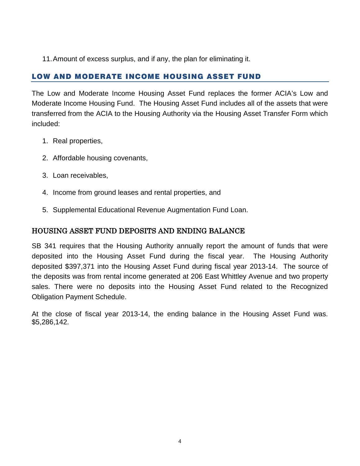11.Amount of excess surplus, and if any, the plan for eliminating it.

# <span id="page-5-0"></span>LOW AND MODERATE INCOME HOUSING ASSET FUND

The Low and Moderate Income Housing Asset Fund replaces the former ACIA's Low and Moderate Income Housing Fund. The Housing Asset Fund includes all of the assets that were transferred from the ACIA to the Housing Authority via the Housing Asset Transfer Form which included:

- 1. Real properties,
- 2. Affordable housing covenants,
- 3. Loan receivables,
- 4. Income from ground leases and rental properties, and
- 5. Supplemental Educational Revenue Augmentation Fund Loan.

### <span id="page-5-1"></span>HOUSING ASSET FUND DEPOSITS AND ENDING BALANCE

SB 341 requires that the Housing Authority annually report the amount of funds that were deposited into the Housing Asset Fund during the fiscal year. The Housing Authority deposited \$397,371 into the Housing Asset Fund during fiscal year 2013-14. The source of the deposits was from rental income generated at 206 East Whittley Avenue and two property sales. There were no deposits into the Housing Asset Fund related to the Recognized Obligation Payment Schedule.

At the close of fiscal year 2013-14, the ending balance in the Housing Asset Fund was. \$5,286,142.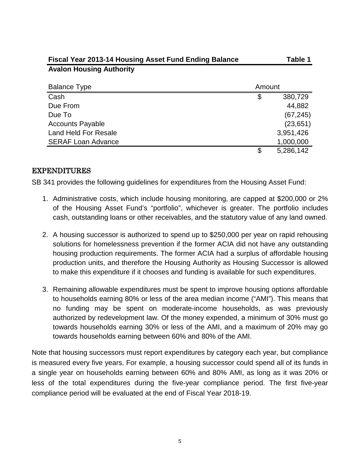| Fiscal Year 2013-14 Housing Asset Fund Ending Balance |        | Table 1   |
|-------------------------------------------------------|--------|-----------|
| <b>Avalon Housing Authority</b>                       |        |           |
| <b>Balance Type</b>                                   | Amount |           |
| Cash                                                  | \$     | 380,729   |
| Due From                                              |        | 44,882    |
| Due To                                                |        | (67, 245) |
| <b>Accounts Payable</b>                               |        | (23, 651) |
| <b>Land Held For Resale</b>                           |        | 3,951,426 |
| <b>SERAF Loan Advance</b>                             |        | 1,000,000 |
|                                                       | \$     | 5,286,142 |

### <span id="page-6-0"></span>EXPENDITURES

SB 341 provides the following guidelines for expenditures from the Housing Asset Fund:

- 1. Administrative costs, which include housing monitoring, are capped at \$200,000 or 2% of the Housing Asset Fund's "portfolio", whichever is greater. The portfolio includes cash, outstanding loans or other receivables, and the statutory value of any land owned.
- 2. A housing successor is authorized to spend up to \$250,000 per year on rapid rehousing solutions for homelessness prevention if the former ACIA did not have any outstanding housing production requirements. The former ACIA had a surplus of affordable housing production units, and therefore the Housing Authority as Housing Successor is allowed to make this expenditure if it chooses and funding is available for such expenditures.
- 3. Remaining allowable expenditures must be spent to improve housing options affordable to households earning 80% or less of the area median income ("AMI"). This means that no funding may be spent on moderate-income households, as was previously authorized by redevelopment law. Of the money expended, a minimum of 30% must go towards households earning 30% or less of the AMI, and a maximum of 20% may go towards households earning between 60% and 80% of the AMI.

Note that housing successors must report expenditures by category each year, but compliance is measured every five years. For example, a housing successor could spend all of its funds in a single year on households earning between 60% and 80% AMI, as long as it was 20% or less of the total expenditures during the five-year compliance period. The first five-year compliance period will be evaluated at the end of Fiscal Year 2018-19.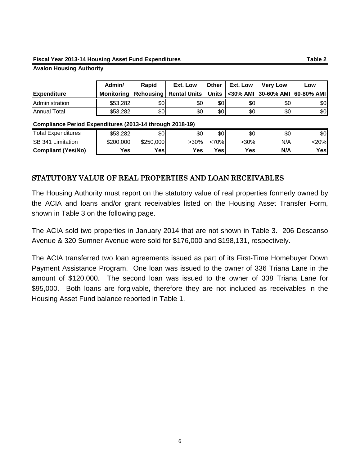#### **Fiscal Year 2013-14 Housing Asset Fund Expenditures Table 2**

#### **Avalon Housing Authority**

|                     | Admin/     | Rapid | Ext. Low                                                        |     | Other   Ext. Low | <b>Very Low</b> | Low |
|---------------------|------------|-------|-----------------------------------------------------------------|-----|------------------|-----------------|-----|
| <b>Expenditure</b>  | Monitorina |       | Rehousing   Rental Units Units   <30% AMI 30-60% AMI 60-80% AMI |     |                  |                 |     |
| Administration      | \$53,282   | \$0   | \$0                                                             | \$0 | \$0              | \$0             | \$0 |
| <b>Annual Total</b> | \$53,282   | \$0   | \$0                                                             | \$0 | \$0              | \$0             | \$0 |

#### **Compliance Period Expenditures (2013-14 through 2018-19)**

| <b>Total Expenditures</b> | \$53.282          | \$0       | \$С  | \$0       | \$0     | \$0 | \$0  |
|---------------------------|-------------------|-----------|------|-----------|---------|-----|------|
| SB 341<br>Limitation      | \$200,000         | \$250,000 | >30% | <70%      | $>30\%$ | N/A | ا20% |
| <b>Compliant (Yes/No)</b> | $V_{\mathsf{ES}}$ | Yes       | Yes  | $V_{est}$ | Yes     | N/A | Yes  |

### <span id="page-7-0"></span>STATUTORY VALUE OF REAL PROPERTIES AND LOAN RECEIVABLES

The Housing Authority must report on the statutory value of real properties formerly owned by the ACIA and loans and/or grant receivables listed on the Housing Asset Transfer Form, shown in Table 3 on the following page.

The ACIA sold two properties in January 2014 that are not shown in Table 3. 206 Descanso Avenue & 320 Sumner Avenue were sold for \$176,000 and \$198,131, respectively.

The ACIA transferred two loan agreements issued as part of its First-Time Homebuyer Down Payment Assistance Program. One loan was issued to the owner of 336 Triana Lane in the amount of \$120,000. The second loan was issued to the owner of 338 Triana Lane for \$95,000. Both loans are forgivable, therefore they are not included as receivables in the Housing Asset Fund balance reported in Table 1.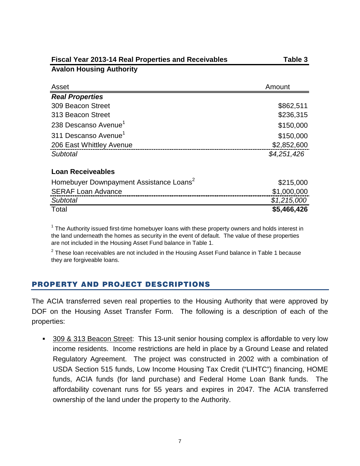| <b>Fiscal Year 2013-14 Real Properties and Receivables</b> | Table 3     |  |  |
|------------------------------------------------------------|-------------|--|--|
| <b>Avalon Housing Authority</b>                            |             |  |  |
| Asset                                                      | Amount      |  |  |
| <b>Real Properties</b>                                     |             |  |  |
| 309 Beacon Street                                          | \$862,511   |  |  |
| 313 Beacon Street                                          | \$236,315   |  |  |
| 238 Descanso Avenue <sup>1</sup>                           | \$150,000   |  |  |
| 311 Descanso Avenue <sup>1</sup>                           | \$150,000   |  |  |
| 206 East Whittley Avenue                                   | \$2,852,600 |  |  |
| Subtotal                                                   | \$4,251,426 |  |  |
| <b>Loan Receiveables</b>                                   |             |  |  |
| Homebuyer Downpayment Assistance Loans <sup>2</sup>        | \$215,000   |  |  |
| <b>SERAF Loan Advance</b>                                  | \$1,000,000 |  |  |
| Subtotal                                                   | \$1,215,000 |  |  |
| Total                                                      | \$5,466,426 |  |  |

<sup>1</sup> The Authority issued first-time homebuyer loans with these property owners and holds interest in the land underneath the homes as security in the event of default. The value of these properties are not included in the Housing Asset Fund balance in Table 1.

 $2$  These loan receivables are not included in the Housing Asset Fund balance in Table 1 because they are forgiveable loans.

# <span id="page-8-0"></span>PROPERTY AND PROJECT DESCRIPTIONS

The ACIA transferred seven real properties to the Housing Authority that were approved by DOF on the Housing Asset Transfer Form. The following is a description of each of the properties:

 309 & 313 Beacon Street: This 13-unit senior housing complex is affordable to very low income residents. Income restrictions are held in place by a Ground Lease and related Regulatory Agreement. The project was constructed in 2002 with a combination of USDA Section 515 funds, Low Income Housing Tax Credit ("LIHTC") financing, HOME funds, ACIA funds (for land purchase) and Federal Home Loan Bank funds. The affordability covenant runs for 55 years and expires in 2047. The ACIA transferred ownership of the land under the property to the Authority.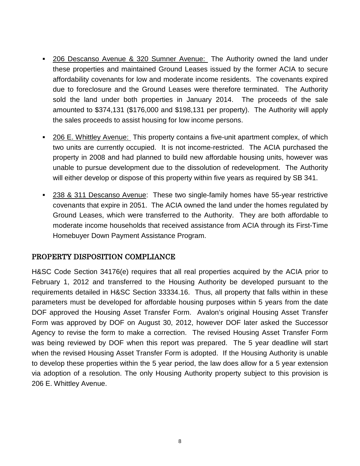- 206 Descanso Avenue & 320 Sumner Avenue: The Authority owned the land under these properties and maintained Ground Leases issued by the former ACIA to secure affordability covenants for low and moderate income residents. The covenants expired due to foreclosure and the Ground Leases were therefore terminated. The Authority sold the land under both properties in January 2014. The proceeds of the sale amounted to \$374,131 (\$176,000 and \$198,131 per property). The Authority will apply the sales proceeds to assist housing for low income persons.
- 206 E. Whittley Avenue: This property contains a five-unit apartment complex, of which two units are currently occupied. It is not income-restricted. The ACIA purchased the property in 2008 and had planned to build new affordable housing units, however was unable to pursue development due to the dissolution of redevelopment. The Authority will either develop or dispose of this property within five years as required by SB 341.
- 238 & 311 Descanso Avenue: These two single-family homes have 55-year restrictive covenants that expire in 2051. The ACIA owned the land under the homes regulated by Ground Leases, which were transferred to the Authority. They are both affordable to moderate income households that received assistance from ACIA through its First-Time Homebuyer Down Payment Assistance Program.

# <span id="page-9-0"></span>PROPERTY DISPOSITION COMPLIANCE

<span id="page-9-1"></span>H&SC Code Section 34176(e) requires that all real properties acquired by the ACIA prior to February 1, 2012 and transferred to the Housing Authority be developed pursuant to the requirements detailed in H&SC Section 33334.16. Thus, all property that falls within in these parameters must be developed for affordable housing purposes within 5 years from the date DOF approved the Housing Asset Transfer Form. Avalon's original Housing Asset Transfer Form was approved by DOF on August 30, 2012, however DOF later asked the Successor Agency to revise the form to make a correction. The revised Housing Asset Transfer Form was being reviewed by DOF when this report was prepared. The 5 year deadline will start when the revised Housing Asset Transfer Form is adopted. If the Housing Authority is unable to develop these properties within the 5 year period, the law does allow for a 5 year extension via adoption of a resolution. The only Housing Authority property subject to this provision is 206 E. Whittley Avenue.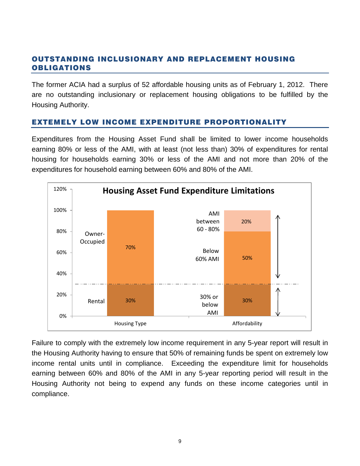### OUTSTANDING INCLUSIONARY AND REPLACEMENT HOUSING OBLIGATIONS

The former ACIA had a surplus of 52 affordable housing units as of February 1, 2012. There are no outstanding inclusionary or replacement housing obligations to be fulfilled by the Housing Authority.

### <span id="page-10-0"></span>EXTEMELY LOW INCOME EXPENDITURE PROPORTIONALITY

Expenditures from the Housing Asset Fund shall be limited to lower income households earning 80% or less of the AMI, with at least (not less than) 30% of expenditures for rental housing for households earning 30% or less of the AMI and not more than 20% of the expenditures for household earning between 60% and 80% of the AMI.



Failure to comply with the extremely low income requirement in any 5-year report will result in the Housing Authority having to ensure that 50% of remaining funds be spent on extremely low income rental units until in compliance. Exceeding the expenditure limit for households earning between 60% and 80% of the AMI in any 5-year reporting period will result in the Housing Authority not being to expend any funds on these income categories until in compliance.